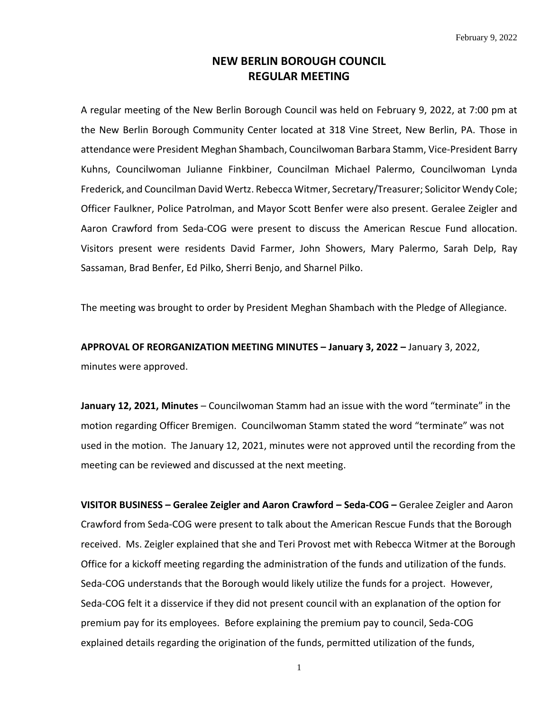## **NEW BERLIN BOROUGH COUNCIL REGULAR MEETING**

A regular meeting of the New Berlin Borough Council was held on February 9, 2022, at 7:00 pm at the New Berlin Borough Community Center located at 318 Vine Street, New Berlin, PA. Those in attendance were President Meghan Shambach, Councilwoman Barbara Stamm, Vice-President Barry Kuhns, Councilwoman Julianne Finkbiner, Councilman Michael Palermo, Councilwoman Lynda Frederick, and Councilman David Wertz. Rebecca Witmer, Secretary/Treasurer; Solicitor Wendy Cole; Officer Faulkner, Police Patrolman, and Mayor Scott Benfer were also present. Geralee Zeigler and Aaron Crawford from Seda-COG were present to discuss the American Rescue Fund allocation. Visitors present were residents David Farmer, John Showers, Mary Palermo, Sarah Delp, Ray Sassaman, Brad Benfer, Ed Pilko, Sherri Benjo, and Sharnel Pilko.

The meeting was brought to order by President Meghan Shambach with the Pledge of Allegiance.

**APPROVAL OF REORGANIZATION MEETING MINUTES – January 3, 2022 –** January 3, 2022, minutes were approved.

**January 12, 2021, Minutes** – Councilwoman Stamm had an issue with the word "terminate" in the motion regarding Officer Bremigen. Councilwoman Stamm stated the word "terminate" was not used in the motion. The January 12, 2021, minutes were not approved until the recording from the meeting can be reviewed and discussed at the next meeting.

**VISITOR BUSINESS – Geralee Zeigler and Aaron Crawford – Seda-COG –** Geralee Zeigler and Aaron Crawford from Seda-COG were present to talk about the American Rescue Funds that the Borough received. Ms. Zeigler explained that she and Teri Provost met with Rebecca Witmer at the Borough Office for a kickoff meeting regarding the administration of the funds and utilization of the funds. Seda-COG understands that the Borough would likely utilize the funds for a project. However, Seda-COG felt it a disservice if they did not present council with an explanation of the option for premium pay for its employees. Before explaining the premium pay to council, Seda-COG explained details regarding the origination of the funds, permitted utilization of the funds,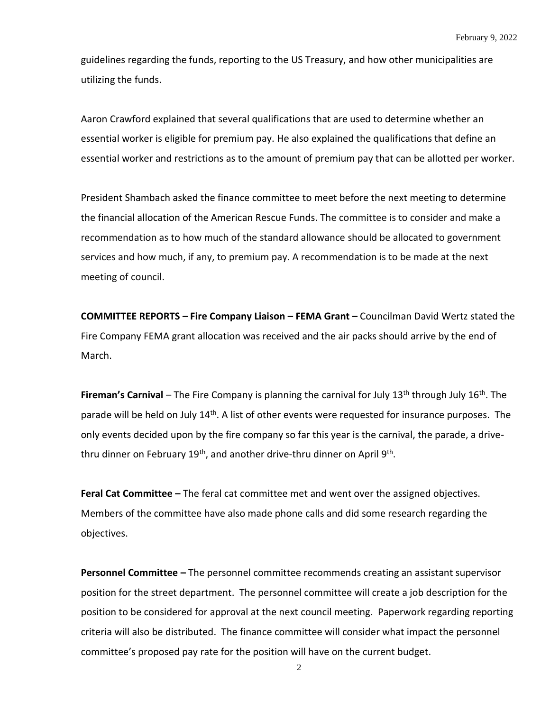guidelines regarding the funds, reporting to the US Treasury, and how other municipalities are utilizing the funds.

Aaron Crawford explained that several qualifications that are used to determine whether an essential worker is eligible for premium pay. He also explained the qualifications that define an essential worker and restrictions as to the amount of premium pay that can be allotted per worker.

President Shambach asked the finance committee to meet before the next meeting to determine the financial allocation of the American Rescue Funds. The committee is to consider and make a recommendation as to how much of the standard allowance should be allocated to government services and how much, if any, to premium pay. A recommendation is to be made at the next meeting of council.

**COMMITTEE REPORTS – Fire Company Liaison – FEMA Grant –** Councilman David Wertz stated the Fire Company FEMA grant allocation was received and the air packs should arrive by the end of March.

**Fireman's Carnival** – The Fire Company is planning the carnival for July 13<sup>th</sup> through July 16<sup>th</sup>. The parade will be held on July 14<sup>th</sup>. A list of other events were requested for insurance purposes. The only events decided upon by the fire company so far this year is the carnival, the parade, a drivethru dinner on February 19<sup>th</sup>, and another drive-thru dinner on April 9<sup>th</sup>.

**Feral Cat Committee –** The feral cat committee met and went over the assigned objectives. Members of the committee have also made phone calls and did some research regarding the objectives.

**Personnel Committee –** The personnel committee recommends creating an assistant supervisor position for the street department. The personnel committee will create a job description for the position to be considered for approval at the next council meeting. Paperwork regarding reporting criteria will also be distributed. The finance committee will consider what impact the personnel committee's proposed pay rate for the position will have on the current budget.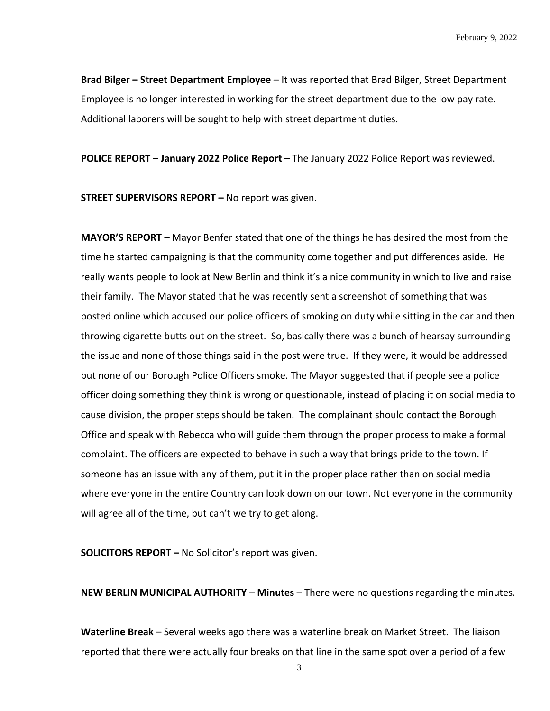**Brad Bilger – Street Department Employee** – It was reported that Brad Bilger, Street Department Employee is no longer interested in working for the street department due to the low pay rate. Additional laborers will be sought to help with street department duties.

**POLICE REPORT – January 2022 Police Report –** The January 2022 Police Report was reviewed.

**STREET SUPERVISORS REPORT –** No report was given.

**MAYOR'S REPORT** – Mayor Benfer stated that one of the things he has desired the most from the time he started campaigning is that the community come together and put differences aside. He really wants people to look at New Berlin and think it's a nice community in which to live and raise their family. The Mayor stated that he was recently sent a screenshot of something that was posted online which accused our police officers of smoking on duty while sitting in the car and then throwing cigarette butts out on the street. So, basically there was a bunch of hearsay surrounding the issue and none of those things said in the post were true. If they were, it would be addressed but none of our Borough Police Officers smoke. The Mayor suggested that if people see a police officer doing something they think is wrong or questionable, instead of placing it on social media to cause division, the proper steps should be taken. The complainant should contact the Borough Office and speak with Rebecca who will guide them through the proper process to make a formal complaint. The officers are expected to behave in such a way that brings pride to the town. If someone has an issue with any of them, put it in the proper place rather than on social media where everyone in the entire Country can look down on our town. Not everyone in the community will agree all of the time, but can't we try to get along.

**SOLICITORS REPORT –** No Solicitor's report was given.

**NEW BERLIN MUNICIPAL AUTHORITY – Minutes –** There were no questions regarding the minutes.

**Waterline Break** – Several weeks ago there was a waterline break on Market Street. The liaison reported that there were actually four breaks on that line in the same spot over a period of a few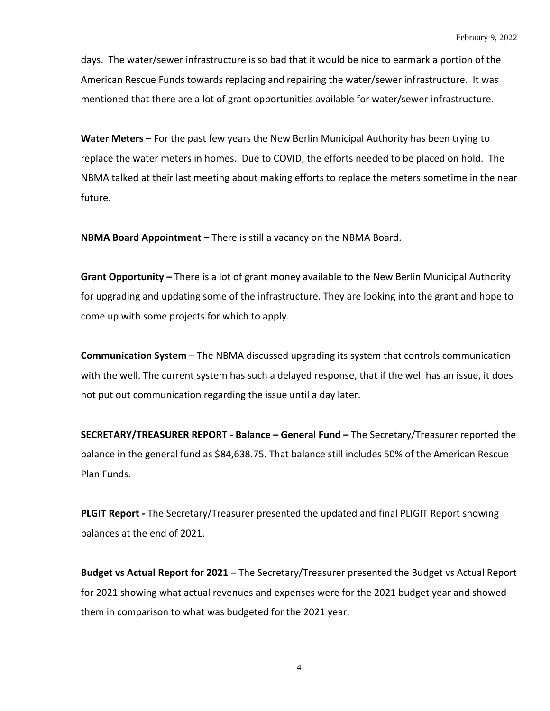days. The water/sewer infrastructure is so bad that it would be nice to earmark a portion of the American Rescue Funds towards replacing and repairing the water/sewer infrastructure. It was mentioned that there are a lot of grant opportunities available for water/sewer infrastructure.

**Water Meters –** For the past few years the New Berlin Municipal Authority has been trying to replace the water meters in homes. Due to COVID, the efforts needed to be placed on hold. The NBMA talked at their last meeting about making efforts to replace the meters sometime in the near future.

**NBMA Board Appointment** – There is still a vacancy on the NBMA Board.

**Grant Opportunity –** There is a lot of grant money available to the New Berlin Municipal Authority for upgrading and updating some of the infrastructure. They are looking into the grant and hope to come up with some projects for which to apply.

**Communication System –** The NBMA discussed upgrading its system that controls communication with the well. The current system has such a delayed response, that if the well has an issue, it does not put out communication regarding the issue until a day later.

**SECRETARY/TREASURER REPORT - Balance – General Fund –** The Secretary/Treasurer reported the balance in the general fund as \$84,638.75. That balance still includes 50% of the American Rescue Plan Funds.

**PLGIT Report -** The Secretary/Treasurer presented the updated and final PLIGIT Report showing balances at the end of 2021.

**Budget vs Actual Report for 2021** – The Secretary/Treasurer presented the Budget vs Actual Report for 2021 showing what actual revenues and expenses were for the 2021 budget year and showed them in comparison to what was budgeted for the 2021 year.

4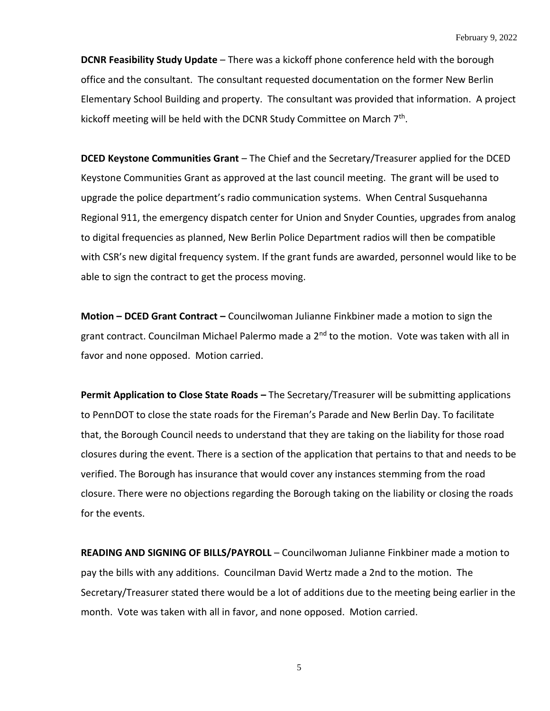**DCNR Feasibility Study Update** – There was a kickoff phone conference held with the borough office and the consultant. The consultant requested documentation on the former New Berlin Elementary School Building and property. The consultant was provided that information. A project kickoff meeting will be held with the DCNR Study Committee on March  $7<sup>th</sup>$ .

**DCED Keystone Communities Grant** – The Chief and the Secretary/Treasurer applied for the DCED Keystone Communities Grant as approved at the last council meeting. The grant will be used to upgrade the police department's radio communication systems. When Central Susquehanna Regional 911, the emergency dispatch center for Union and Snyder Counties, upgrades from analog to digital frequencies as planned, New Berlin Police Department radios will then be compatible with CSR's new digital frequency system. If the grant funds are awarded, personnel would like to be able to sign the contract to get the process moving.

**Motion – DCED Grant Contract –** Councilwoman Julianne Finkbiner made a motion to sign the grant contract. Councilman Michael Palermo made a 2<sup>nd</sup> to the motion. Vote was taken with all in favor and none opposed. Motion carried.

**Permit Application to Close State Roads –** The Secretary/Treasurer will be submitting applications to PennDOT to close the state roads for the Fireman's Parade and New Berlin Day. To facilitate that, the Borough Council needs to understand that they are taking on the liability for those road closures during the event. There is a section of the application that pertains to that and needs to be verified. The Borough has insurance that would cover any instances stemming from the road closure. There were no objections regarding the Borough taking on the liability or closing the roads for the events.

**READING AND SIGNING OF BILLS/PAYROLL** – Councilwoman Julianne Finkbiner made a motion to pay the bills with any additions. Councilman David Wertz made a 2nd to the motion. The Secretary/Treasurer stated there would be a lot of additions due to the meeting being earlier in the month. Vote was taken with all in favor, and none opposed. Motion carried.

5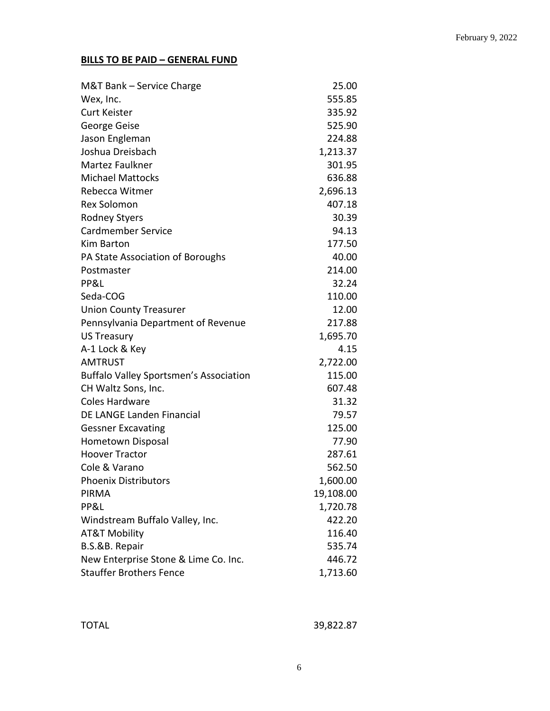## **BILLS TO BE PAID – GENERAL FUND**

| M&T Bank – Service Charge                     | 25.00     |
|-----------------------------------------------|-----------|
| Wex, Inc.                                     | 555.85    |
| <b>Curt Keister</b>                           | 335.92    |
| George Geise                                  | 525.90    |
| Jason Engleman                                | 224.88    |
| Joshua Dreisbach                              | 1,213.37  |
| Martez Faulkner                               | 301.95    |
| <b>Michael Mattocks</b>                       | 636.88    |
| Rebecca Witmer                                | 2,696.13  |
| <b>Rex Solomon</b>                            | 407.18    |
| <b>Rodney Styers</b>                          | 30.39     |
| <b>Cardmember Service</b>                     | 94.13     |
| Kim Barton                                    | 177.50    |
| PA State Association of Boroughs              | 40.00     |
| Postmaster                                    | 214.00    |
| PP&L                                          | 32.24     |
| Seda-COG                                      | 110.00    |
| <b>Union County Treasurer</b>                 | 12.00     |
| Pennsylvania Department of Revenue            | 217.88    |
| <b>US Treasury</b>                            | 1,695.70  |
| A-1 Lock & Key                                | 4.15      |
| <b>AMTRUST</b>                                | 2,722.00  |
| <b>Buffalo Valley Sportsmen's Association</b> | 115.00    |
| CH Waltz Sons, Inc.                           | 607.48    |
| <b>Coles Hardware</b>                         | 31.32     |
| DE LANGE Landen Financial                     | 79.57     |
| <b>Gessner Excavating</b>                     | 125.00    |
| Hometown Disposal                             | 77.90     |
| <b>Hoover Tractor</b>                         | 287.61    |
| Cole & Varano                                 | 562.50    |
| <b>Phoenix Distributors</b>                   | 1,600.00  |
| <b>PIRMA</b>                                  | 19,108.00 |
| PP&L                                          | 1,720.78  |
| Windstream Buffalo Valley, Inc.               | 422.20    |
| <b>AT&amp;T Mobility</b>                      | 116.40    |
| B.S.&B. Repair                                | 535.74    |
| New Enterprise Stone & Lime Co. Inc.          | 446.72    |
| <b>Stauffer Brothers Fence</b>                | 1,713.60  |

| <b>TOTAL</b> | 39,822.87 |
|--------------|-----------|
|--------------|-----------|